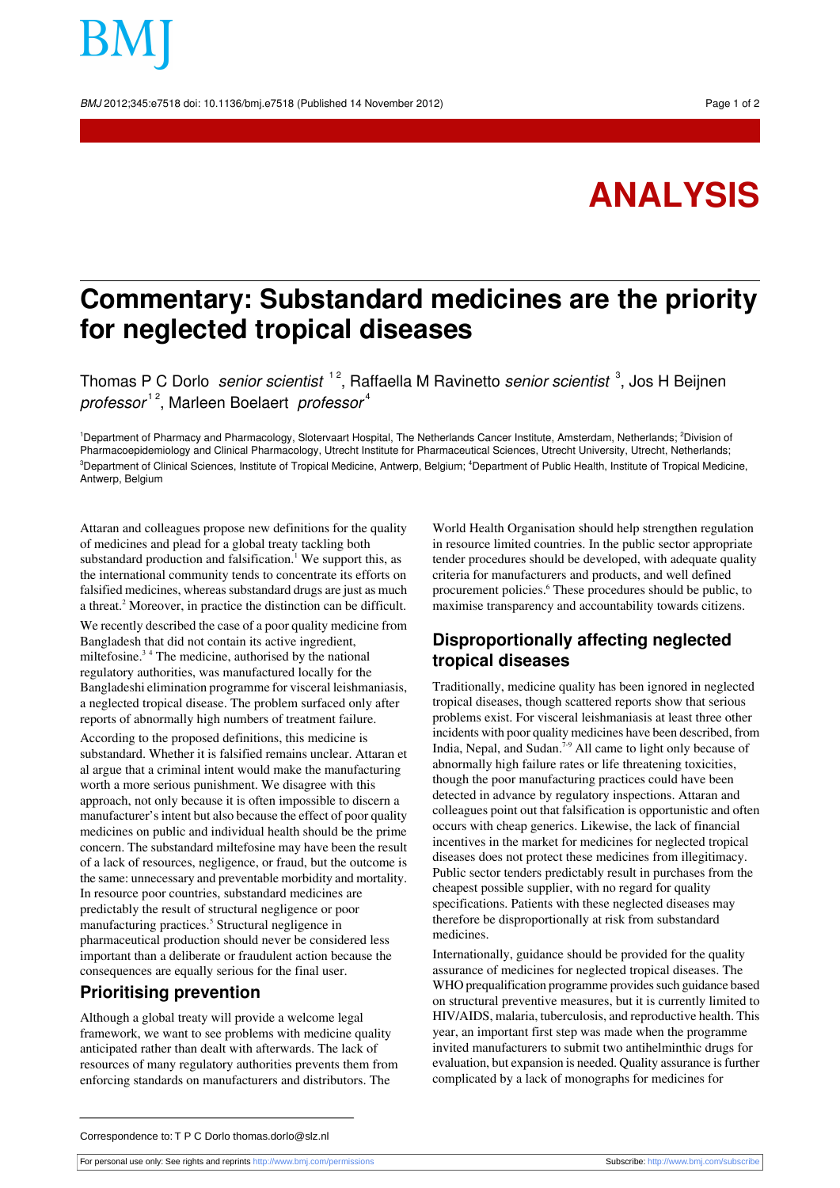BMJ 2012;345:e7518 doi: 10.1136/bmj.e7518 (Published 14 November 2012) Page 1 of 2

# **ANALYSIS**

## **Commentary: Substandard medicines are the priority for neglected tropical diseases**

Thomas P C Dorlo *senior scientist* <sup>12</sup>, Raffaella M Ravinetto *senior scientist* <sup>3</sup>, Jos H Beijnen professor<sup>12</sup>, Marleen Boelaert professor<sup>4</sup>

<sup>1</sup>Department of Pharmacy and Pharmacology, Slotervaart Hospital, The Netherlands Cancer Institute, Amsterdam, Netherlands; <sup>2</sup>Division of Pharmacoepidemiology and Clinical Pharmacology, Utrecht Institute for Pharmaceutical Sciences, Utrecht University, Utrecht, Netherlands; <sup>3</sup>Department of Clinical Sciences, Institute of Tropical Medicine, Antwerp, Belgium; <sup>4</sup>Department of Public Health, Institute of Tropical Medicine, Antwerp, Belgium

Attaran and colleagues propose new definitions for the quality of medicines and plead for a global treaty tackling both substandard production and falsification.<sup>1</sup> We support this, as the international community tends to concentrate its efforts on falsified medicines, whereas substandard drugs are just as much a threat.<sup>2</sup> Moreover, in practice the distinction can be difficult.

We recently described the case of a poor quality medicine from Bangladesh that did not contain its active ingredient, miltefosine. $3<sup>4</sup>$  The medicine, authorised by the national regulatory authorities, was manufactured locally for the Bangladeshi elimination programme for visceral leishmaniasis, a neglected tropical disease. The problem surfaced only after reports of abnormally high numbers of treatment failure.

According to the proposed definitions, this medicine is substandard. Whether it is falsified remains unclear. Attaran et al argue that a criminal intent would make the manufacturing worth a more serious punishment. We disagree with this approach, not only because it is often impossible to discern a manufacturer's intent but also because the effect of poor quality medicines on public and individual health should be the prime concern. The substandard miltefosine may have been the result of a lack of resources, negligence, or fraud, but the outcome is the same: unnecessary and preventable morbidity and mortality. In resource poor countries, substandard medicines are predictably the result of structural negligence or poor manufacturing practices.<sup>5</sup> Structural negligence in pharmaceutical production should never be considered less important than a deliberate or fraudulent action because the consequences are equally serious for the final user.

#### **Prioritising prevention**

Although a global treaty will provide a welcome legal framework, we want to see problems with medicine quality anticipated rather than dealt with afterwards. The lack of resources of many regulatory authorities prevents them from enforcing standards on manufacturers and distributors. The

World Health Organisation should help strengthen regulation in resource limited countries. In the public sector appropriate tender procedures should be developed, with adequate quality criteria for manufacturers and products, and well defined procurement policies.<sup>6</sup> These procedures should be public, to maximise transparency and accountability towards citizens.

### **Disproportionally affecting neglected tropical diseases**

Traditionally, medicine quality has been ignored in neglected tropical diseases, though scattered reports show that serious problems exist. For visceral leishmaniasis at least three other incidents with poor quality medicines have been described, from India, Nepal, and Sudan.<sup>7,9</sup> All came to light only because of abnormally high failure rates or life threatening toxicities, though the poor manufacturing practices could have been detected in advance by regulatory inspections. Attaran and colleagues point out that falsification is opportunistic and often occurs with cheap generics. Likewise, the lack of financial incentives in the market for medicines for neglected tropical diseases does not protect these medicines from illegitimacy. Public sector tenders predictably result in purchases from the cheapest possible supplier, with no regard for quality specifications. Patients with these neglected diseases may therefore be disproportionally at risk from substandard medicines.

Internationally, guidance should be provided for the quality assurance of medicines for neglected tropical diseases. The WHO prequalification programme provides such guidance based on structural preventive measures, but it is currently limited to HIV/AIDS, malaria, tuberculosis, and reproductive health. This year, an important first step was made when the programme invited manufacturers to submit two antihelminthic drugs for evaluation, but expansion is needed. Quality assurance is further complicated by a lack of monographs for medicines for